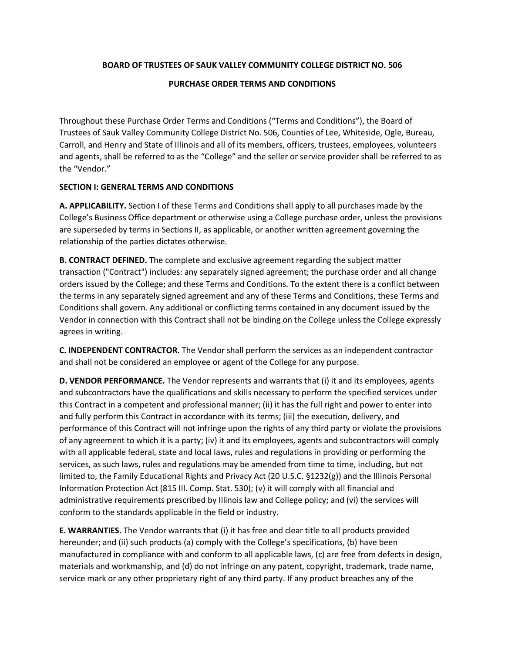## **BOARD OF TRUSTEES OF SAUK VALLEY COMMUNITY COLLEGE DISTRICT NO. 506**

## **PURCHASE ORDER TERMS AND CONDITIONS**

Throughout these Purchase Order Terms and Conditions ("Terms and Conditions"), the Board of Trustees of Sauk Valley Community College District No. 506, Counties of Lee, Whiteside, Ogle, Bureau, Carroll, and Henry and State of Illinois and all of its members, officers, trustees, employees, volunteers and agents, shall be referred to as the "College" and the seller or service provider shall be referred to as the "Vendor."

## **SECTION I: GENERAL TERMS AND CONDITIONS**

**A. APPLICABILITY.** Section I of these Terms and Conditions shall apply to all purchases made by the College's Business Office department or otherwise using a College purchase order, unless the provisions are superseded by terms in Sections II, as applicable, or another written agreement governing the relationship of the parties dictates otherwise.

**B. CONTRACT DEFINED.** The complete and exclusive agreement regarding the subject matter transaction ("Contract") includes: any separately signed agreement; the purchase order and all change orders issued by the College; and these Terms and Conditions. To the extent there is a conflict between the terms in any separately signed agreement and any of these Terms and Conditions, these Terms and Conditions shall govern. Any additional or conflicting terms contained in any document issued by the Vendor in connection with this Contract shall not be binding on the College unless the College expressly agrees in writing.

**C. INDEPENDENT CONTRACTOR.** The Vendor shall perform the services as an independent contractor and shall not be considered an employee or agent of the College for any purpose.

**D. VENDOR PERFORMANCE.** The Vendor represents and warrants that (i) it and its employees, agents and subcontractors have the qualifications and skills necessary to perform the specified services under this Contract in a competent and professional manner; (ii) it has the full right and power to enter into and fully perform this Contract in accordance with its terms; (iii) the execution, delivery, and performance of this Contract will not infringe upon the rights of any third party or violate the provisions of any agreement to which it is a party; (iv) it and its employees, agents and subcontractors will comply with all applicable federal, state and local laws, rules and regulations in providing or performing the services, as such laws, rules and regulations may be amended from time to time, including, but not limited to, the Family Educational Rights and Privacy Act (20 U.S.C. §1232(g)) and the Illinois Personal Information Protection Act (815 Ill. Comp. Stat. 530); (v) it will comply with all financial and administrative requirements prescribed by Illinois law and College policy; and (vi) the services will conform to the standards applicable in the field or industry.

**E. WARRANTIES.** The Vendor warrants that (i) it has free and clear title to all products provided hereunder; and (ii) such products (a) comply with the College's specifications, (b) have been manufactured in compliance with and conform to all applicable laws, (c) are free from defects in design, materials and workmanship, and (d) do not infringe on any patent, copyright, trademark, trade name, service mark or any other proprietary right of any third party. If any product breaches any of the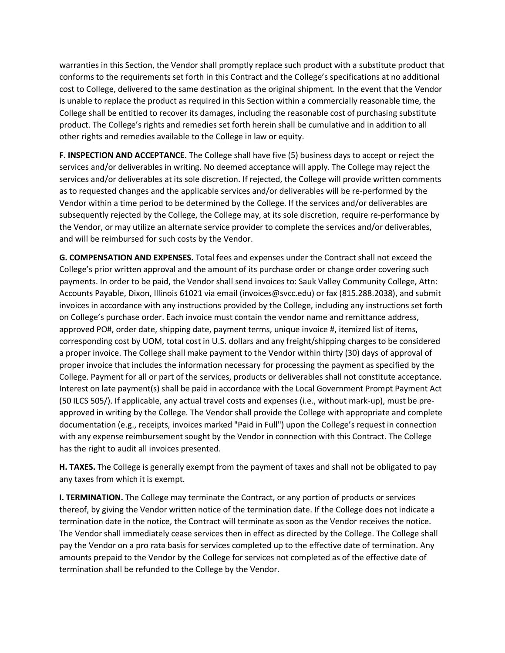warranties in this Section, the Vendor shall promptly replace such product with a substitute product that conforms to the requirements set forth in this Contract and the College's specifications at no additional cost to College, delivered to the same destination as the original shipment. In the event that the Vendor is unable to replace the product as required in this Section within a commercially reasonable time, the College shall be entitled to recover its damages, including the reasonable cost of purchasing substitute product. The College's rights and remedies set forth herein shall be cumulative and in addition to all other rights and remedies available to the College in law or equity.

**F. INSPECTION AND ACCEPTANCE.** The College shall have five (5) business days to accept or reject the services and/or deliverables in writing. No deemed acceptance will apply. The College may reject the services and/or deliverables at its sole discretion. If rejected, the College will provide written comments as to requested changes and the applicable services and/or deliverables will be re-performed by the Vendor within a time period to be determined by the College. If the services and/or deliverables are subsequently rejected by the College, the College may, at its sole discretion, require re-performance by the Vendor, or may utilize an alternate service provider to complete the services and/or deliverables, and will be reimbursed for such costs by the Vendor.

**G. COMPENSATION AND EXPENSES.** Total fees and expenses under the Contract shall not exceed the College's prior written approval and the amount of its purchase order or change order covering such payments. In order to be paid, the Vendor shall send invoices to: Sauk Valley Community College, Attn: Accounts Payable, Dixon, Illinois 61021 via email (invoices@svcc.edu) or fax (815.288.2038), and submit invoices in accordance with any instructions provided by the College, including any instructions set forth on College's purchase order. Each invoice must contain the vendor name and remittance address, approved PO#, order date, shipping date, payment terms, unique invoice #, itemized list of items, corresponding cost by UOM, total cost in U.S. dollars and any freight/shipping charges to be considered a proper invoice. The College shall make payment to the Vendor within thirty (30) days of approval of proper invoice that includes the information necessary for processing the payment as specified by the College. Payment for all or part of the services, products or deliverables shall not constitute acceptance. Interest on late payment(s) shall be paid in accordance with the Local Government Prompt Payment Act (50 ILCS 505/). If applicable, any actual travel costs and expenses (i.e., without mark-up), must be preapproved in writing by the College. The Vendor shall provide the College with appropriate and complete documentation (e.g., receipts, invoices marked "Paid in Full") upon the College's request in connection with any expense reimbursement sought by the Vendor in connection with this Contract. The College has the right to audit all invoices presented.

**H. TAXES.** The College is generally exempt from the payment of taxes and shall not be obligated to pay any taxes from which it is exempt.

**I. TERMINATION.** The College may terminate the Contract, or any portion of products or services thereof, by giving the Vendor written notice of the termination date. If the College does not indicate a termination date in the notice, the Contract will terminate as soon as the Vendor receives the notice. The Vendor shall immediately cease services then in effect as directed by the College. The College shall pay the Vendor on a pro rata basis for services completed up to the effective date of termination. Any amounts prepaid to the Vendor by the College for services not completed as of the effective date of termination shall be refunded to the College by the Vendor.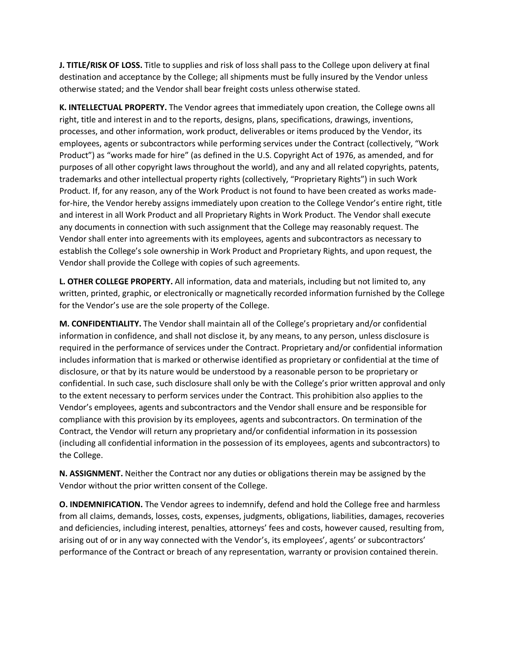**J. TITLE/RISK OF LOSS.** Title to supplies and risk of loss shall pass to the College upon delivery at final destination and acceptance by the College; all shipments must be fully insured by the Vendor unless otherwise stated; and the Vendor shall bear freight costs unless otherwise stated.

**K. INTELLECTUAL PROPERTY.** The Vendor agrees that immediately upon creation, the College owns all right, title and interest in and to the reports, designs, plans, specifications, drawings, inventions, processes, and other information, work product, deliverables or items produced by the Vendor, its employees, agents or subcontractors while performing services under the Contract (collectively, "Work Product") as "works made for hire" (as defined in the U.S. Copyright Act of 1976, as amended, and for purposes of all other copyright laws throughout the world), and any and all related copyrights, patents, trademarks and other intellectual property rights (collectively, "Proprietary Rights") in such Work Product. If, for any reason, any of the Work Product is not found to have been created as works madefor-hire, the Vendor hereby assigns immediately upon creation to the College Vendor's entire right, title and interest in all Work Product and all Proprietary Rights in Work Product. The Vendor shall execute any documents in connection with such assignment that the College may reasonably request. The Vendor shall enter into agreements with its employees, agents and subcontractors as necessary to establish the College's sole ownership in Work Product and Proprietary Rights, and upon request, the Vendor shall provide the College with copies of such agreements.

**L. OTHER COLLEGE PROPERTY.** All information, data and materials, including but not limited to, any written, printed, graphic, or electronically or magnetically recorded information furnished by the College for the Vendor's use are the sole property of the College.

**M. CONFIDENTIALITY.** The Vendor shall maintain all of the College's proprietary and/or confidential information in confidence, and shall not disclose it, by any means, to any person, unless disclosure is required in the performance of services under the Contract. Proprietary and/or confidential information includes information that is marked or otherwise identified as proprietary or confidential at the time of disclosure, or that by its nature would be understood by a reasonable person to be proprietary or confidential. In such case, such disclosure shall only be with the College's prior written approval and only to the extent necessary to perform services under the Contract. This prohibition also applies to the Vendor's employees, agents and subcontractors and the Vendor shall ensure and be responsible for compliance with this provision by its employees, agents and subcontractors. On termination of the Contract, the Vendor will return any proprietary and/or confidential information in its possession (including all confidential information in the possession of its employees, agents and subcontractors) to the College.

**N. ASSIGNMENT.** Neither the Contract nor any duties or obligations therein may be assigned by the Vendor without the prior written consent of the College.

**O. INDEMNIFICATION.** The Vendor agrees to indemnify, defend and hold the College free and harmless from all claims, demands, losses, costs, expenses, judgments, obligations, liabilities, damages, recoveries and deficiencies, including interest, penalties, attorneys' fees and costs, however caused, resulting from, arising out of or in any way connected with the Vendor's, its employees', agents' or subcontractors' performance of the Contract or breach of any representation, warranty or provision contained therein.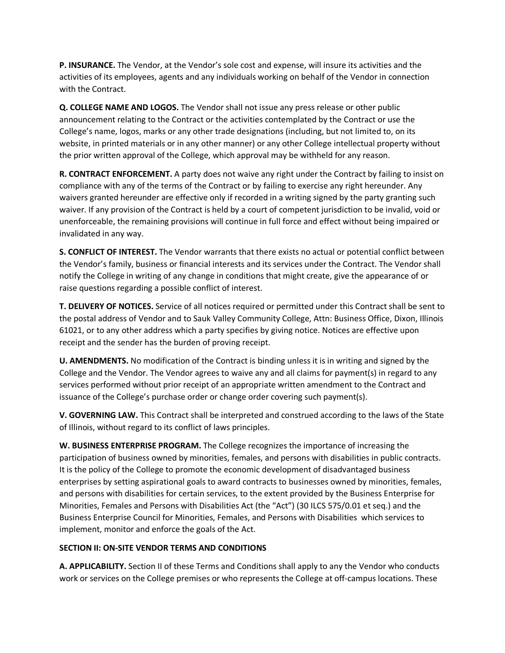**P. INSURANCE.** The Vendor, at the Vendor's sole cost and expense, will insure its activities and the activities of its employees, agents and any individuals working on behalf of the Vendor in connection with the Contract.

**Q. COLLEGE NAME AND LOGOS.** The Vendor shall not issue any press release or other public announcement relating to the Contract or the activities contemplated by the Contract or use the College's name, logos, marks or any other trade designations (including, but not limited to, on its website, in printed materials or in any other manner) or any other College intellectual property without the prior written approval of the College, which approval may be withheld for any reason.

**R. CONTRACT ENFORCEMENT.** A party does not waive any right under the Contract by failing to insist on compliance with any of the terms of the Contract or by failing to exercise any right hereunder. Any waivers granted hereunder are effective only if recorded in a writing signed by the party granting such waiver. If any provision of the Contract is held by a court of competent jurisdiction to be invalid, void or unenforceable, the remaining provisions will continue in full force and effect without being impaired or invalidated in any way.

**S. CONFLICT OF INTEREST.** The Vendor warrants that there exists no actual or potential conflict between the Vendor's family, business or financial interests and its services under the Contract. The Vendor shall notify the College in writing of any change in conditions that might create, give the appearance of or raise questions regarding a possible conflict of interest.

**T. DELIVERY OF NOTICES.** Service of all notices required or permitted under this Contract shall be sent to the postal address of Vendor and to Sauk Valley Community College, Attn: Business Office, Dixon, Illinois 61021, or to any other address which a party specifies by giving notice. Notices are effective upon receipt and the sender has the burden of proving receipt.

**U. AMENDMENTS.** No modification of the Contract is binding unless it is in writing and signed by the College and the Vendor. The Vendor agrees to waive any and all claims for payment(s) in regard to any services performed without prior receipt of an appropriate written amendment to the Contract and issuance of the College's purchase order or change order covering such payment(s).

**V. GOVERNING LAW.** This Contract shall be interpreted and construed according to the laws of the State of Illinois, without regard to its conflict of laws principles.

**W. BUSINESS ENTERPRISE PROGRAM.** The College recognizes the importance of increasing the participation of business owned by minorities, females, and persons with disabilities in public contracts. It is the policy of the College to promote the economic development of disadvantaged business enterprises by setting aspirational goals to award contracts to businesses owned by minorities, females, and persons with disabilities for certain services, to the extent provided by the Business Enterprise for Minorities, Females and Persons with Disabilities Act (the "Act") (30 ILCS 575/0.01 et seq.) and the Business Enterprise Council for Minorities, Females, and Persons with Disabilities which services to implement, monitor and enforce the goals of the Act.

## **SECTION II: ON-SITE VENDOR TERMS AND CONDITIONS**

**A. APPLICABILITY.** Section II of these Terms and Conditions shall apply to any the Vendor who conducts work or services on the College premises or who represents the College at off-campus locations. These